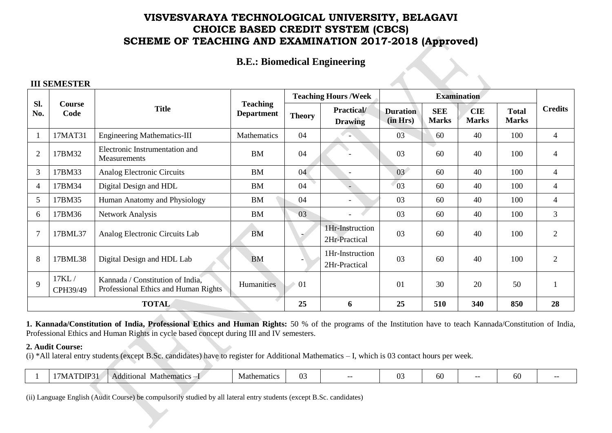## **B.E.: Biomedical Engineering**

### **III SEMESTER**

|                |                   |                                                                          |                                      |                 | <b>Teaching Hours / Week</b>       |                             |                            | <b>Examination</b>         |                              |                |
|----------------|-------------------|--------------------------------------------------------------------------|--------------------------------------|-----------------|------------------------------------|-----------------------------|----------------------------|----------------------------|------------------------------|----------------|
| Sl.<br>No.     | Course<br>Code    | <b>Title</b>                                                             | <b>Teaching</b><br><b>Department</b> | <b>Theory</b>   | <b>Practical</b><br><b>Drawing</b> | <b>Duration</b><br>(in Hrs) | <b>SEE</b><br><b>Marks</b> | <b>CIE</b><br><b>Marks</b> | <b>Total</b><br><b>Marks</b> | <b>Credits</b> |
|                | 17MAT31           | <b>Engineering Mathematics-III</b>                                       | Mathematics                          | 04              |                                    | 03                          | 60                         | 40                         | 100                          | 4              |
| $\overline{2}$ | 17BM32            | Electronic Instrumentation and<br>Measurements                           | BM                                   | 04              |                                    | 03                          | 60                         | 40                         | 100                          | 4              |
| 3              | 17BM33            | Analog Electronic Circuits                                               | <b>BM</b>                            | 04 <sup>°</sup> |                                    | 03 <sup>7</sup>             | 60                         | 40                         | 100                          | 4              |
| $\overline{4}$ | 17BM34            | Digital Design and HDL                                                   | <b>BM</b>                            | 04              |                                    | 03                          | 60                         | 40                         | 100                          | 4              |
| 5              | 17BM35            | Human Anatomy and Physiology                                             | BM                                   | 04              |                                    | 03                          | 60                         | 40                         | 100                          | 4              |
| 6              | 17BM36            | <b>Network Analysis</b>                                                  | <b>BM</b>                            | 03              |                                    | 03                          | 60                         | 40                         | 100                          | $\mathfrak{Z}$ |
| 7              | 17BML37           | Analog Electronic Circuits Lab                                           | <b>BM</b>                            |                 | 1Hr-Instruction<br>2Hr-Practical   | 03                          | 60                         | 40                         | 100                          | $\overline{2}$ |
| 8              | 17BML38           | Digital Design and HDL Lab                                               | <b>BM</b>                            |                 | 1Hr-Instruction<br>2Hr-Practical   | 03                          | 60                         | 40                         | 100                          | $\overline{2}$ |
| 9              | 17KL/<br>CPH39/49 | Kannada / Constitution of India,<br>Professional Ethics and Human Rights | Humanities                           | 01              |                                    | 01                          | 30                         | 20                         | 50                           |                |
|                | <b>TOTAL</b>      |                                                                          |                                      |                 | 6                                  | 25                          | 510                        | 340                        | 850                          | 28             |

**1. Kannada/Constitution of India, Professional Ethics and Human Rights:** 50 % of the programs of the Institution have to teach Kannada/Constitution of India, Professional Ethics and Human Rights in cycle based concept during III and IV semesters.

### **2. Audit Course:**

(i) \*All lateral entry students (except B.Sc. candidates) have to register for Additional Mathematics – I, which is 03 contact hours per week.

|  | DIP<br>---<br>/ IVI. | $\bullet$<br><b>Mathematics</b><br>Additional | Mathematics | $\sim$<br>11<br>◡ |  | $\sim$<br><b>A</b> | ผ<br>UU | -- | w |  |
|--|----------------------|-----------------------------------------------|-------------|-------------------|--|--------------------|---------|----|---|--|
|--|----------------------|-----------------------------------------------|-------------|-------------------|--|--------------------|---------|----|---|--|

(ii) Language English (Audit Course) be compulsorily studied by all lateral entry students (except B.Sc. candidates)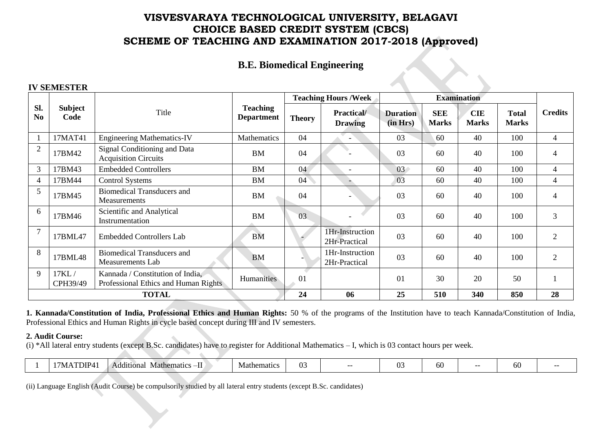## **B.E. Biomedical Engineering**

#### **IV SEMESTER**

|                       |                        |                                                                          |                                      |               | <b>Teaching Hours /Week</b>          |                             |                            | <b>Examination</b>         |                              |                |
|-----------------------|------------------------|--------------------------------------------------------------------------|--------------------------------------|---------------|--------------------------------------|-----------------------------|----------------------------|----------------------------|------------------------------|----------------|
| Sl.<br>N <sub>0</sub> | <b>Subject</b><br>Code | Title                                                                    | <b>Teaching</b><br><b>Department</b> | <b>Theory</b> | <b>Practical</b> /<br><b>Drawing</b> | <b>Duration</b><br>(in Hrs) | <b>SEE</b><br><b>Marks</b> | <b>CIE</b><br><b>Marks</b> | <b>Total</b><br><b>Marks</b> | <b>Credits</b> |
|                       | 17MAT41                | <b>Engineering Mathematics-IV</b>                                        | Mathematics                          | 04            |                                      | 03                          | 60                         | 40                         | 100                          | 4              |
| $\overline{2}$        | 17BM42                 | Signal Conditioning and Data<br><b>Acquisition Circuits</b>              | <b>BM</b>                            | 04            |                                      | 03                          | 60                         | 40                         | 100                          | 4              |
| 3                     | 17BM43                 | <b>Embedded Controllers</b>                                              | <b>BM</b>                            | 04            | $\overline{\phantom{0}}$             | 03 <sup>°</sup>             | 60                         | 40                         | 100                          | 4              |
| 4                     | 17BM44                 | <b>Control Systems</b>                                                   | <b>BM</b>                            | 04            |                                      | 03                          | 60                         | 40                         | 100                          | 4              |
| 5                     | 17BM45                 | <b>Biomedical Transducers and</b><br>Measurements                        | <b>BM</b>                            | 04            |                                      | 03                          | 60                         | 40                         | 100                          | 4              |
| 6                     | 17BM46                 | Scientific and Analytical<br>Instrumentation                             | <b>BM</b>                            | 03            |                                      | 03                          | 60                         | 40                         | 100                          | 3              |
|                       | 17BML47                | <b>Embedded Controllers Lab</b>                                          | <b>BM</b>                            |               | 1Hr-Instruction<br>2Hr-Practical     | 03                          | 60                         | 40                         | 100                          | $\overline{2}$ |
| 8                     | 17BML48                | <b>Biomedical Transducers and</b><br><b>Measurements Lab</b>             | <b>BM</b>                            |               | 1Hr-Instruction<br>2Hr-Practical     | 03                          | 60                         | 40                         | 100                          | $\overline{2}$ |
| 9                     | 17KL/<br>CPH39/49      | Kannada / Constitution of India,<br>Professional Ethics and Human Rights | Humanities                           | 01            |                                      | 01                          | 30                         | 20                         | 50                           |                |
|                       | <b>TOTAL</b>           |                                                                          |                                      |               | 06                                   | 25                          | 510                        | 340                        | 850                          | 28             |

**1. Kannada/Constitution of India, Professional Ethics and Human Rights:** 50 % of the programs of the Institution have to teach Kannada/Constitution of India, Professional Ethics and Human Rights in cycle based concept during III and IV semesters.

### **2. Audit Course:**

(i) \*All lateral entry students (except B.Sc. candidates) have to register for Additional Mathematics – I, which is 03 contact hours per week.

|  | $T\Box$ $P4_1$<br>/ΜΔ | $\cdots$<br>-11<br>Additional<br>Mathematics | Vlathematic | $\sim$<br>- 14<br>v. |  | ⌒<br>$\mathbf{v}$ | bU |  | nu |  |
|--|-----------------------|----------------------------------------------|-------------|----------------------|--|-------------------|----|--|----|--|
|--|-----------------------|----------------------------------------------|-------------|----------------------|--|-------------------|----|--|----|--|

(ii) Language English (Audit Course) be compulsorily studied by all lateral entry students (except B.Sc. candidates)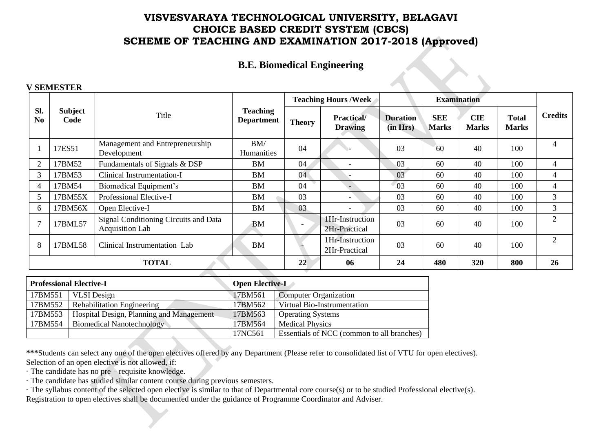## **B.E. Biomedical Engineering**

 $\rightsquigarrow$ 

#### **V SEMESTER**

|                       |                 |                                                          |                                      |               | <b>Teaching Hours /Week</b>         |                             |                            | <b>Examination</b>         |                              |                |
|-----------------------|-----------------|----------------------------------------------------------|--------------------------------------|---------------|-------------------------------------|-----------------------------|----------------------------|----------------------------|------------------------------|----------------|
| Sl.<br>N <sub>0</sub> | Subject<br>Code | Title                                                    | <b>Teaching</b><br><b>Department</b> | <b>Theory</b> | <b>Practical/</b><br><b>Drawing</b> | <b>Duration</b><br>(in Hrs) | <b>SEE</b><br><b>Marks</b> | <b>CIE</b><br><b>Marks</b> | <b>Total</b><br><b>Marks</b> | <b>Credits</b> |
|                       | 17ES51          | Management and Entrepreneurship<br>Development           | BM/<br><b>Humanities</b>             | 04            |                                     | 03                          | 60                         | 40                         | 100                          | 4              |
| $\overline{2}$        | 17BM52          | Fundamentals of Signals & DSP                            | BM                                   | 04            | $\overline{\phantom{0}}$            | 03                          | 60                         | 40                         | 100                          | 4              |
| 3                     | 17BM53          | Clinical Instrumentation-I                               | BM                                   | 04            |                                     | 03                          | 60                         | 40                         | 100                          | 4              |
| 4                     | 17BM54          | Biomedical Equipment's                                   | BM                                   | 04            |                                     | 03                          | 60                         | 40                         | 100                          | 4              |
|                       | 17BM55X         | Professional Elective-I                                  | BM                                   | 03            | $\overline{\phantom{0}}$            | 03                          | 60                         | 40                         | 100                          | 3              |
| 6                     | 17BM56X         | Open Elective-I                                          | <b>BM</b>                            | 03            | $\overline{\phantom{a}}$            | 03                          | 60                         | 40                         | 100                          | 3              |
| −                     | 17BML57         | Signal Conditioning Circuits and Data<br>Acquisition Lab | BM                                   |               | 1Hr-Instruction<br>2Hr-Practical    | 03                          | 60                         | 40                         | 100                          | 2              |
| 8                     | 17BML58         | Clinical Instrumentation Lab                             | BM                                   |               | 1Hr-Instruction<br>2Hr-Practical    | 03                          | 60                         | 40                         | 100                          | 2              |
|                       | <b>TOTAL</b>    |                                                          |                                      | 22            | 06                                  | 24                          | 480                        | 320                        | 800                          | 26             |
|                       |                 |                                                          |                                      |               |                                     |                             |                            |                            |                              |                |

|         | <b>Professional Elective-I</b>           | <b>Open Elective-L</b> |                                            |
|---------|------------------------------------------|------------------------|--------------------------------------------|
| 17BM551 | <b>VLSI</b> Design                       | 17BM561                | <b>Computer Organization</b>               |
| 17BM552 | <b>Rehabilitation Engineering</b>        | 17BM562                | Virtual Bio-Instrumentation                |
| 17BM553 | Hospital Design, Planning and Management | 17BM563                | <b>Operating Systems</b>                   |
| 17BM554 | <b>Biomedical Nanotechnology</b>         | 17BM564                | <b>Medical Physics</b>                     |
|         |                                          | 17NC561                | Essentials of NCC (common to all branches) |

**\*\*\***Students can select any one of the open electives offered by any Department (Please refer to consolidated list of VTU for open electives). Selection of an open elective is not allowed, if:

· The candidate has no pre – requisite knowledge.

- · The candidate has studied similar content course during previous semesters.
- · The syllabus content of the selected open elective is similar to that of Departmental core course(s) or to be studied Professional elective(s). Registration to open electives shall be documented under the guidance of Programme Coordinator and Adviser.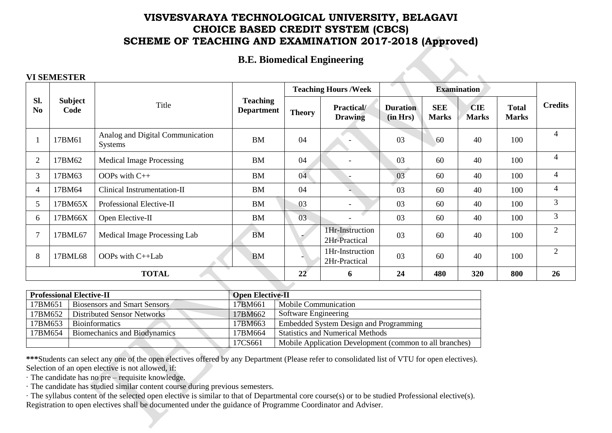# **B.E. Biomedical Engineering**

### **VI SEMESTER**

| SI.<br><b>Subject</b><br><b>Teaching</b><br>Title<br><b>SEE</b><br><b>CIE</b><br><b>Total</b><br>Practical/<br><b>Duration</b><br>N <sub>0</sub><br>Code<br><b>Department</b><br><b>Theory</b><br>(in Hrs)<br><b>Marks</b><br><b>Marks</b><br><b>Marks</b><br><b>Drawing</b><br>4<br>Analog and Digital Communication<br>03<br>04<br>60<br>40<br>17BM61<br><b>BM</b><br>100<br><b>Systems</b><br>4<br>$\overline{2}$<br>04<br>03<br>60<br>40<br>100<br><b>BM</b><br>17BM62<br><b>Medical Image Processing</b><br>$\overline{4}$<br>03<br>04<br>3<br>OOPs with C++<br><b>BM</b><br>60<br>40<br>100<br>17BM63<br>4<br>04<br>03<br>40<br>Clinical Instrumentation-II<br><b>BM</b><br>60<br>100<br>17BM64<br>4<br>$\mathfrak{Z}$<br>0 <sub>3</sub><br>03<br>60<br>40<br>17BM65X<br>Professional Elective-II<br><b>BM</b><br>100<br>5<br>3<br>03<br>03<br>60<br>40<br>Open Elective-II<br><b>BM</b><br>100<br>17BM66X<br>6 |  |  |  |  | <b>Teaching Hours /Week</b> | <b>Examination</b> |  |                |
|-----------------------------------------------------------------------------------------------------------------------------------------------------------------------------------------------------------------------------------------------------------------------------------------------------------------------------------------------------------------------------------------------------------------------------------------------------------------------------------------------------------------------------------------------------------------------------------------------------------------------------------------------------------------------------------------------------------------------------------------------------------------------------------------------------------------------------------------------------------------------------------------------------------------------|--|--|--|--|-----------------------------|--------------------|--|----------------|
|                                                                                                                                                                                                                                                                                                                                                                                                                                                                                                                                                                                                                                                                                                                                                                                                                                                                                                                       |  |  |  |  |                             |                    |  | <b>Credits</b> |
|                                                                                                                                                                                                                                                                                                                                                                                                                                                                                                                                                                                                                                                                                                                                                                                                                                                                                                                       |  |  |  |  |                             |                    |  |                |
|                                                                                                                                                                                                                                                                                                                                                                                                                                                                                                                                                                                                                                                                                                                                                                                                                                                                                                                       |  |  |  |  |                             |                    |  |                |
|                                                                                                                                                                                                                                                                                                                                                                                                                                                                                                                                                                                                                                                                                                                                                                                                                                                                                                                       |  |  |  |  |                             |                    |  |                |
|                                                                                                                                                                                                                                                                                                                                                                                                                                                                                                                                                                                                                                                                                                                                                                                                                                                                                                                       |  |  |  |  |                             |                    |  |                |
|                                                                                                                                                                                                                                                                                                                                                                                                                                                                                                                                                                                                                                                                                                                                                                                                                                                                                                                       |  |  |  |  |                             |                    |  |                |
|                                                                                                                                                                                                                                                                                                                                                                                                                                                                                                                                                                                                                                                                                                                                                                                                                                                                                                                       |  |  |  |  |                             |                    |  |                |
| 03<br><b>BM</b><br>60<br>40<br>100<br>7<br>Medical Image Processing Lab<br>17BML67<br>2Hr-Practical                                                                                                                                                                                                                                                                                                                                                                                                                                                                                                                                                                                                                                                                                                                                                                                                                   |  |  |  |  | 1Hr-Instruction             |                    |  | $\overline{2}$ |
| $\overline{2}$<br>1Hr-Instruction<br>03<br>8<br>60<br>40<br>100<br>17BML68<br>OOPs with C++Lab<br><b>BM</b><br>2Hr-Practical                                                                                                                                                                                                                                                                                                                                                                                                                                                                                                                                                                                                                                                                                                                                                                                          |  |  |  |  |                             |                    |  |                |
| <b>TOTAL</b><br>22<br>480<br>26<br>24<br>320<br>800<br>6                                                                                                                                                                                                                                                                                                                                                                                                                                                                                                                                                                                                                                                                                                                                                                                                                                                              |  |  |  |  |                             |                    |  |                |

|         | <b>Professional Elective-II</b>     | <b>Open Elective-II</b> |                                                         |
|---------|-------------------------------------|-------------------------|---------------------------------------------------------|
| 17BM651 | <b>Biosensors and Smart Sensors</b> | 17BM661                 | Mobile Communication                                    |
| 17BM652 | Distributed Sensor Networks         | 17BM662                 | <b>Software Engineering</b>                             |
| 17BM653 | <b>Bioinformatics</b>               | 17BM663                 | Embedded System Design and Programming                  |
| 17BM654 | Biomechanics and Biodynamics        | 17BM664                 | <b>Statistics and Numerical Methods</b>                 |
|         |                                     | 17CS661                 | Mobile Application Development (common to all branches) |

**\*\*\***Students can select any one of the open electives offered by any Department (Please refer to consolidated list of VTU for open electives). Selection of an open elective is not allowed, if:

· The candidate has no pre – requisite knowledge.

· The candidate has studied similar content course during previous semesters.

· The syllabus content of the selected open elective is similar to that of Departmental core course(s) or to be studied Professional elective(s). Registration to open electives shall be documented under the guidance of Programme Coordinator and Adviser.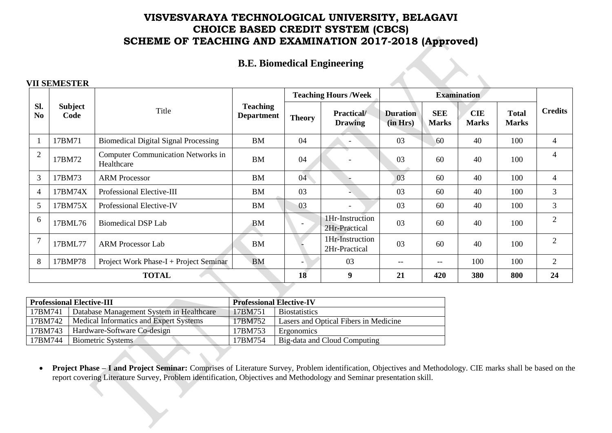# **B.E. Biomedical Engineering**

 $\rightarrow$ 

### **VII SEMESTER**

|                       |                        |                                                         |                                      |                          | <b>Teaching Hours / Week</b>         |                             |                            | <b>Examination</b>         |                              |                |
|-----------------------|------------------------|---------------------------------------------------------|--------------------------------------|--------------------------|--------------------------------------|-----------------------------|----------------------------|----------------------------|------------------------------|----------------|
| Sl.<br>N <sub>0</sub> | <b>Subject</b><br>Code | Title                                                   | <b>Teaching</b><br><b>Department</b> | <b>Theory</b>            | <b>Practical</b> /<br><b>Drawing</b> | <b>Duration</b><br>(in Hrs) | <b>SEE</b><br><b>Marks</b> | <b>CIE</b><br><b>Marks</b> | <b>Total</b><br><b>Marks</b> | <b>Credits</b> |
|                       | 17BM71                 | <b>Biomedical Digital Signal Processing</b>             | <b>BM</b>                            | 04                       | $\overline{\phantom{a}}$             | 03                          | 60                         | 40                         | 100                          | 4              |
| $\overline{2}$        | 17BM72                 | <b>Computer Communication Networks in</b><br>Healthcare | <b>BM</b>                            | 04                       |                                      | 03                          | 60                         | 40                         | 100                          | 4              |
| 3                     | 17BM73                 | <b>ARM Processor</b>                                    | <b>BM</b>                            | 04                       |                                      | 03                          | 60                         | 40                         | 100                          | 4              |
| $\overline{4}$        | 17BM74X                | Professional Elective-III                               | <b>BM</b>                            | 03                       |                                      | 03                          | 60                         | 40                         | 100                          | 3              |
| 5                     | 17BM75X                | Professional Elective-IV                                | <b>BM</b>                            | 03                       | $\blacksquare$                       | 03                          | 60                         | 40                         | 100                          | 3              |
| 6                     | 17BML76                | <b>Biomedical DSP Lab</b>                               | <b>BM</b>                            |                          | 1Hr-Instruction<br>2Hr-Practical     | 03                          | 60                         | 40                         | 100                          | $\overline{2}$ |
|                       | 17BML77                | <b>ARM Processor Lab</b>                                | <b>BM</b>                            |                          | 1Hr-Instruction<br>2Hr-Practical     | 03                          | 60                         | 40                         | 100                          | 2              |
| 8                     | 17BMP78                | Project Work Phase-I + Project Seminar                  | <b>BM</b>                            | $\overline{\phantom{a}}$ | 03                                   | $--$                        | $--$                       | 100                        | 100                          | 2              |
|                       |                        | <b>TOTAL</b>                                            |                                      | 18                       | 9                                    | 21                          | 420                        | 380                        | 800                          | 24             |

|         | <b>Professional Elective-III</b>         | <b>Professional Elective-IV</b> |                                       |
|---------|------------------------------------------|---------------------------------|---------------------------------------|
| 17BM741 | Database Management System in Healthcare | 17BM751                         | <b>Biostatistics</b>                  |
| 17BM742 | Medical Informatics and Expert Systems   | 17BM752                         | Lasers and Optical Fibers in Medicine |
| 17BM743 | Hardware-Software Co-design              | 17BM753                         | Ergonomics                            |
| 17BM744 | <b>Biometric Systems</b>                 | 17BM754                         | Big-data and Cloud Computing          |

 **Project Phase – I and Project Seminar:** Comprises of Literature Survey, Problem identification, Objectives and Methodology. CIE marks shall be based on the report covering Literature Survey, Problem identification, Objectives and Methodology and Seminar presentation skill.